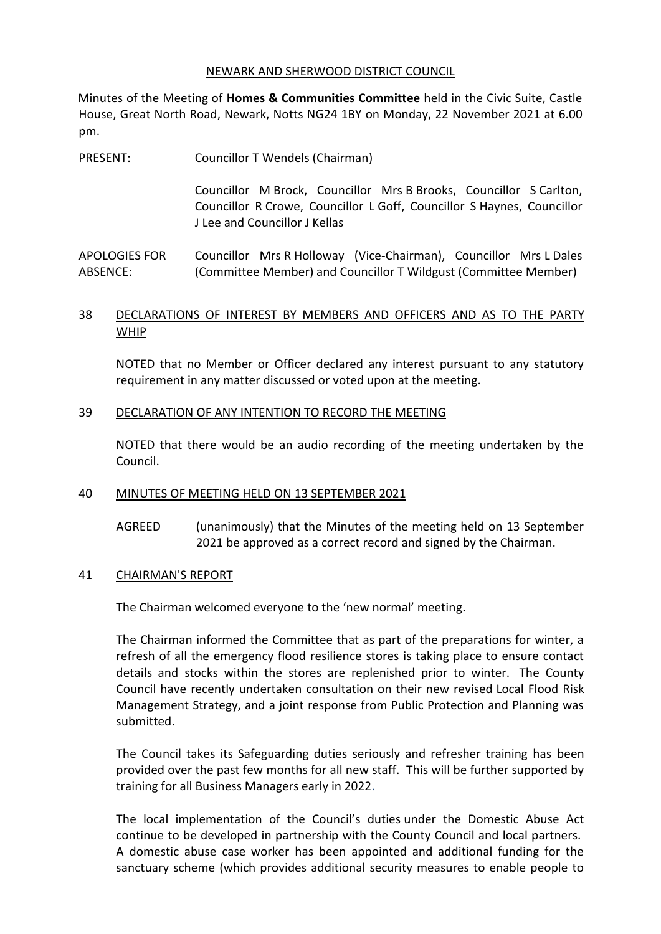#### NEWARK AND SHERWOOD DISTRICT COUNCIL

Minutes of the Meeting of **Homes & Communities Committee** held in the Civic Suite, Castle House, Great North Road, Newark, Notts NG24 1BY on Monday, 22 November 2021 at 6.00 pm.

PRESENT: Councillor T Wendels (Chairman)

Councillor M Brock, Councillor Mrs B Brooks, Councillor S Carlton, Councillor R Crowe, Councillor L Goff, Councillor S Haynes, Councillor J Lee and Councillor J Kellas

APOLOGIES FOR ABSENCE: Councillor Mrs R Holloway (Vice-Chairman), Councillor Mrs L Dales (Committee Member) and Councillor T Wildgust (Committee Member)

# 38 DECLARATIONS OF INTEREST BY MEMBERS AND OFFICERS AND AS TO THE PARTY WHIP

NOTED that no Member or Officer declared any interest pursuant to any statutory requirement in any matter discussed or voted upon at the meeting.

### 39 DECLARATION OF ANY INTENTION TO RECORD THE MEETING

NOTED that there would be an audio recording of the meeting undertaken by the Council.

#### 40 MINUTES OF MEETING HELD ON 13 SEPTEMBER 2021

AGREED (unanimously) that the Minutes of the meeting held on 13 September 2021 be approved as a correct record and signed by the Chairman.

#### 41 CHAIRMAN'S REPORT

The Chairman welcomed everyone to the 'new normal' meeting.

The Chairman informed the Committee that as part of the preparations for winter, a refresh of all the emergency flood resilience stores is taking place to ensure contact details and stocks within the stores are replenished prior to winter. The County Council have recently undertaken consultation on their new revised Local Flood Risk Management Strategy, and a joint response from Public Protection and Planning was submitted.

The Council takes its Safeguarding duties seriously and refresher training has been provided over the past few months for all new staff. This will be further supported by training for all Business Managers early in 2022.

The local implementation of the Council's duties under the Domestic Abuse Act continue to be developed in partnership with the County Council and local partners. A domestic abuse case worker has been appointed and additional funding for the sanctuary scheme (which provides additional security measures to enable people to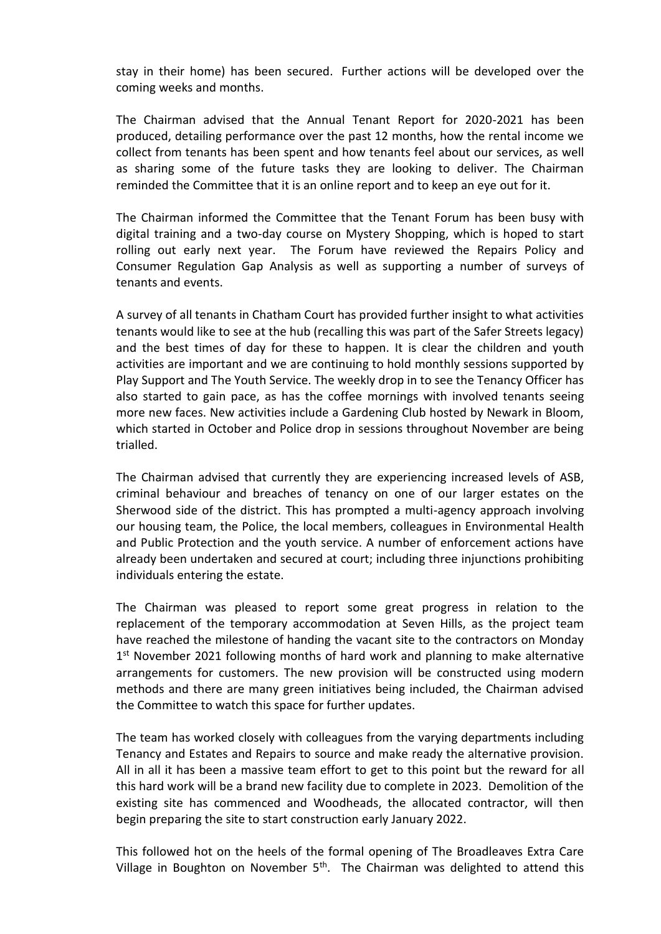stay in their home) has been secured. Further actions will be developed over the coming weeks and months.

The Chairman advised that the Annual Tenant Report for 2020-2021 has been produced, detailing performance over the past 12 months, how the rental income we collect from tenants has been spent and how tenants feel about our services, as well as sharing some of the future tasks they are looking to deliver. The Chairman reminded the Committee that it is an online report and to keep an eye out for it.

The Chairman informed the Committee that the Tenant Forum has been busy with digital training and a two-day course on Mystery Shopping, which is hoped to start rolling out early next year. The Forum have reviewed the Repairs Policy and Consumer Regulation Gap Analysis as well as supporting a number of surveys of tenants and events.

A survey of all tenants in Chatham Court has provided further insight to what activities tenants would like to see at the hub (recalling this was part of the Safer Streets legacy) and the best times of day for these to happen. It is clear the children and youth activities are important and we are continuing to hold monthly sessions supported by Play Support and The Youth Service. The weekly drop in to see the Tenancy Officer has also started to gain pace, as has the coffee mornings with involved tenants seeing more new faces. New activities include a Gardening Club hosted by Newark in Bloom, which started in October and Police drop in sessions throughout November are being trialled.

The Chairman advised that currently they are experiencing increased levels of ASB, criminal behaviour and breaches of tenancy on one of our larger estates on the Sherwood side of the district. This has prompted a multi-agency approach involving our housing team, the Police, the local members, colleagues in Environmental Health and Public Protection and the youth service. A number of enforcement actions have already been undertaken and secured at court; including three injunctions prohibiting individuals entering the estate.

The Chairman was pleased to report some great progress in relation to the replacement of the temporary accommodation at Seven Hills, as the project team have reached the milestone of handing the vacant site to the contractors on Monday 1<sup>st</sup> November 2021 following months of hard work and planning to make alternative arrangements for customers. The new provision will be constructed using modern methods and there are many green initiatives being included, the Chairman advised the Committee to watch this space for further updates.

The team has worked closely with colleagues from the varying departments including Tenancy and Estates and Repairs to source and make ready the alternative provision. All in all it has been a massive team effort to get to this point but the reward for all this hard work will be a brand new facility due to complete in 2023. Demolition of the existing site has commenced and Woodheads, the allocated contractor, will then begin preparing the site to start construction early January 2022.

This followed hot on the heels of the formal opening of The Broadleaves Extra Care Village in Boughton on November  $5<sup>th</sup>$ . The Chairman was delighted to attend this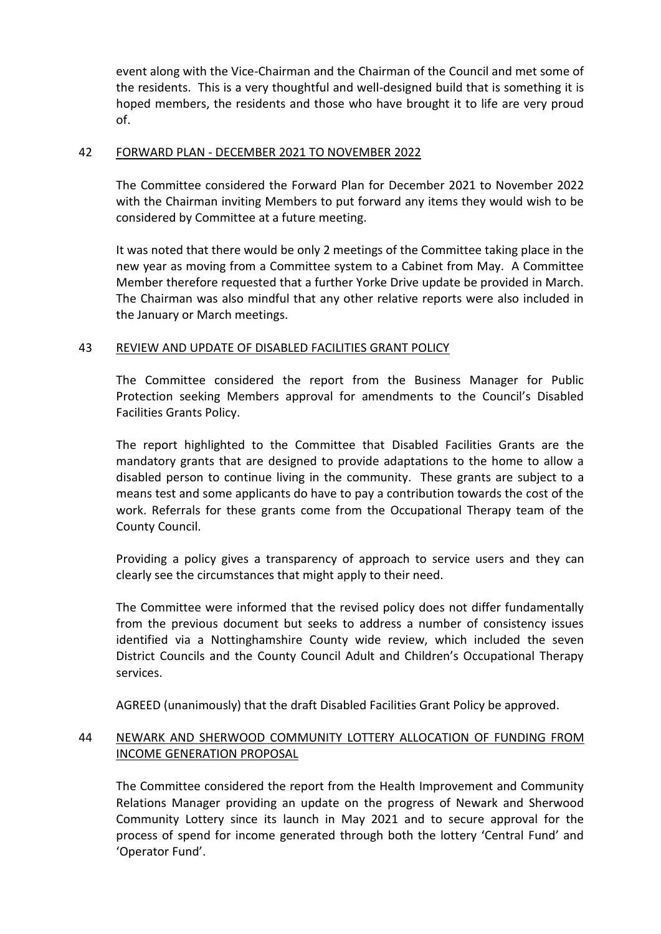event along with the Vice-Chairman and the Chairman of the Council and met some of the residents. This is a very thoughtful and well-designed build that is something it is hoped members, the residents and those who have brought it to life are very proud of.

## 42 FORWARD PLAN - DECEMBER 2021 TO NOVEMBER 2022

The Committee considered the Forward Plan for December 2021 to November 2022 with the Chairman inviting Members to put forward any items they would wish to be considered by Committee at a future meeting.

It was noted that there would be only 2 meetings of the Committee taking place in the new year as moving from a Committee system to a Cabinet from May. A Committee Member therefore requested that a further Yorke Drive update be provided in March. The Chairman was also mindful that any other relative reports were also included in the January or March meetings.

# 43 REVIEW AND UPDATE OF DISABLED FACILITIES GRANT POLICY

The Committee considered the report from the Business Manager for Public Protection seeking Members approval for amendments to the Council's Disabled Facilities Grants Policy.

The report highlighted to the Committee that Disabled Facilities Grants are the mandatory grants that are designed to provide adaptations to the home to allow a disabled person to continue living in the community. These grants are subject to a means test and some applicants do have to pay a contribution towards the cost of the work. Referrals for these grants come from the Occupational Therapy team of the County Council.

Providing a policy gives a transparency of approach to service users and they can clearly see the circumstances that might apply to their need.

The Committee were informed that the revised policy does not differ fundamentally from the previous document but seeks to address a number of consistency issues identified via a Nottinghamshire County wide review, which included the seven District Councils and the County Council Adult and Children's Occupational Therapy services.

AGREED (unanimously) that the draft Disabled Facilities Grant Policy be approved.

# 44 NEWARK AND SHERWOOD COMMUNITY LOTTERY ALLOCATION OF FUNDING FROM INCOME GENERATION PROPOSAL

The Committee considered the report from the Health Improvement and Community Relations Manager providing an update on the progress of Newark and Sherwood Community Lottery since its launch in May 2021 and to secure approval for the process of spend for income generated through both the lottery 'Central Fund' and 'Operator Fund'.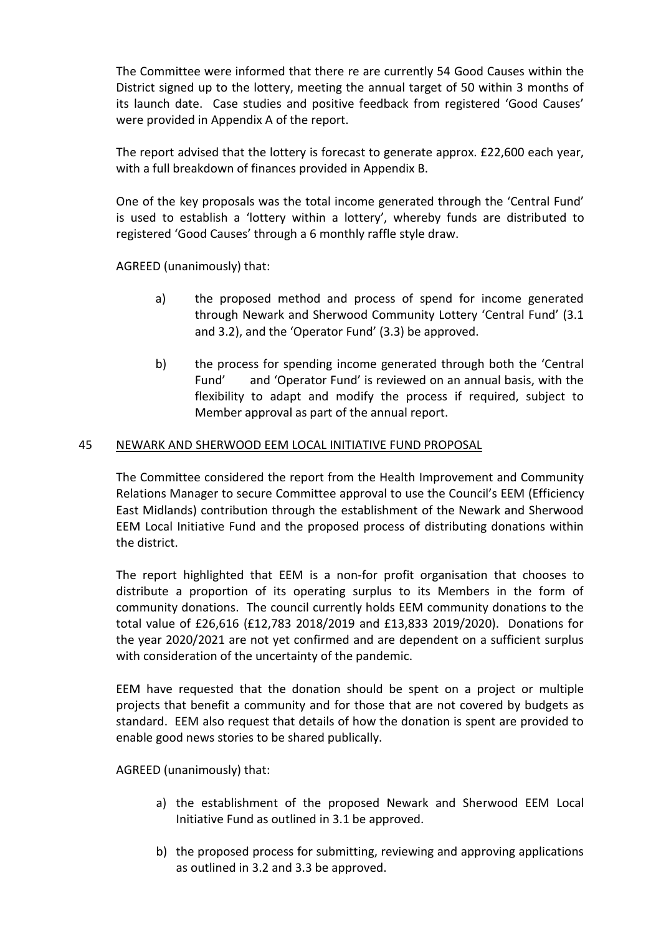The Committee were informed that there re are currently 54 Good Causes within the District signed up to the lottery, meeting the annual target of 50 within 3 months of its launch date. Case studies and positive feedback from registered 'Good Causes' were provided in Appendix A of the report.

The report advised that the lottery is forecast to generate approx. £22,600 each year, with a full breakdown of finances provided in Appendix B.

One of the key proposals was the total income generated through the 'Central Fund' is used to establish a 'lottery within a lottery', whereby funds are distributed to registered 'Good Causes' through a 6 monthly raffle style draw.

AGREED (unanimously) that:

- a) the proposed method and process of spend for income generated through Newark and Sherwood Community Lottery 'Central Fund' (3.1 and 3.2), and the 'Operator Fund' (3.3) be approved.
- b) the process for spending income generated through both the 'Central Fund' and 'Operator Fund' is reviewed on an annual basis, with the flexibility to adapt and modify the process if required, subject to Member approval as part of the annual report.

# 45 NEWARK AND SHERWOOD EEM LOCAL INITIATIVE FUND PROPOSAL

The Committee considered the report from the Health Improvement and Community Relations Manager to secure Committee approval to use the Council's EEM (Efficiency East Midlands) contribution through the establishment of the Newark and Sherwood EEM Local Initiative Fund and the proposed process of distributing donations within the district.

The report highlighted that EEM is a non-for profit organisation that chooses to distribute a proportion of its operating surplus to its Members in the form of community donations. The council currently holds EEM community donations to the total value of £26,616 (£12,783 2018/2019 and £13,833 2019/2020). Donations for the year 2020/2021 are not yet confirmed and are dependent on a sufficient surplus with consideration of the uncertainty of the pandemic.

EEM have requested that the donation should be spent on a project or multiple projects that benefit a community and for those that are not covered by budgets as standard. EEM also request that details of how the donation is spent are provided to enable good news stories to be shared publically.

AGREED (unanimously) that:

- a) the establishment of the proposed Newark and Sherwood EEM Local Initiative Fund as outlined in 3.1 be approved.
- b) the proposed process for submitting, reviewing and approving applications as outlined in 3.2 and 3.3 be approved.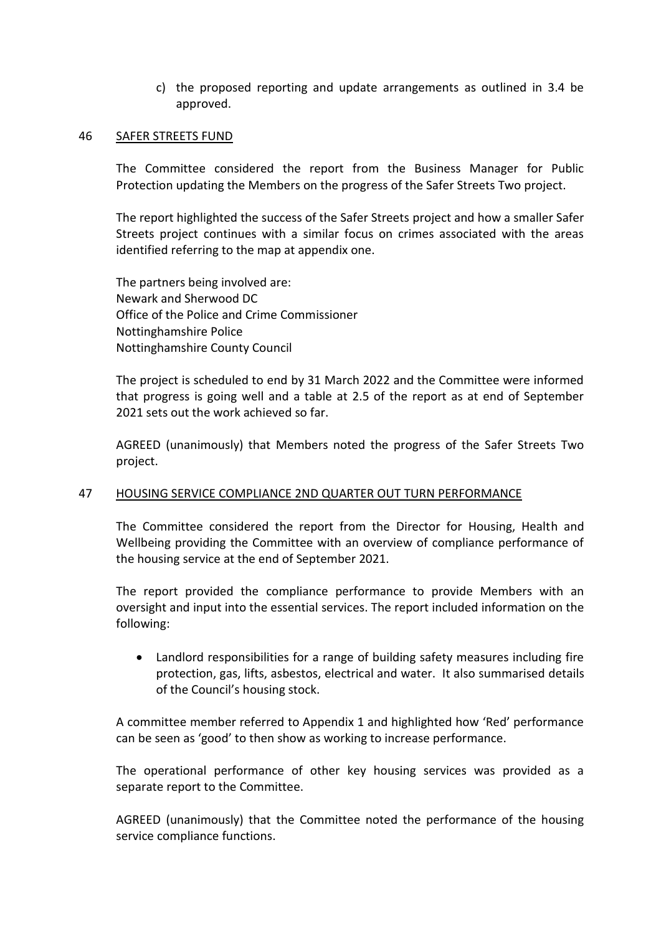c) the proposed reporting and update arrangements as outlined in 3.4 be approved.

#### 46 SAFER STREETS FUND

The Committee considered the report from the Business Manager for Public Protection updating the Members on the progress of the Safer Streets Two project.

The report highlighted the success of the Safer Streets project and how a smaller Safer Streets project continues with a similar focus on crimes associated with the areas identified referring to the map at appendix one.

The partners being involved are: Newark and Sherwood DC Office of the Police and Crime Commissioner Nottinghamshire Police Nottinghamshire County Council

The project is scheduled to end by 31 March 2022 and the Committee were informed that progress is going well and a table at 2.5 of the report as at end of September 2021 sets out the work achieved so far.

AGREED (unanimously) that Members noted the progress of the Safer Streets Two project.

### 47 HOUSING SERVICE COMPLIANCE 2ND QUARTER OUT TURN PERFORMANCE

The Committee considered the report from the Director for Housing, Health and Wellbeing providing the Committee with an overview of compliance performance of the housing service at the end of September 2021.

The report provided the compliance performance to provide Members with an oversight and input into the essential services. The report included information on the following:

 Landlord responsibilities for a range of building safety measures including fire protection, gas, lifts, asbestos, electrical and water. It also summarised details of the Council's housing stock.

A committee member referred to Appendix 1 and highlighted how 'Red' performance can be seen as 'good' to then show as working to increase performance.

The operational performance of other key housing services was provided as a separate report to the Committee.

AGREED (unanimously) that the Committee noted the performance of the housing service compliance functions.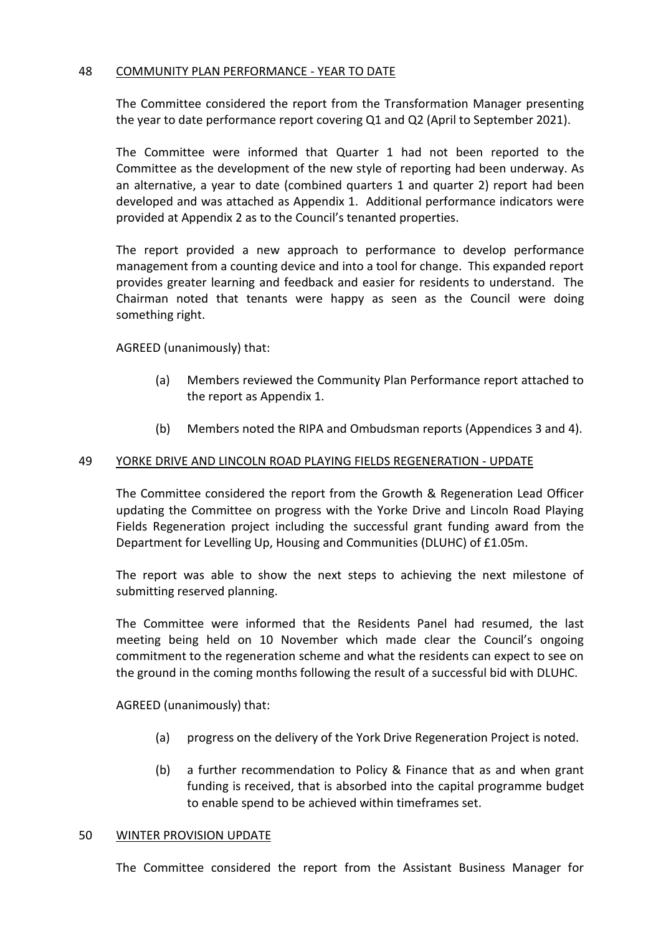## 48 COMMUNITY PLAN PERFORMANCE - YEAR TO DATE

The Committee considered the report from the Transformation Manager presenting the year to date performance report covering Q1 and Q2 (April to September 2021).

The Committee were informed that Quarter 1 had not been reported to the Committee as the development of the new style of reporting had been underway. As an alternative, a year to date (combined quarters 1 and quarter 2) report had been developed and was attached as Appendix 1. Additional performance indicators were provided at Appendix 2 as to the Council's tenanted properties.

The report provided a new approach to performance to develop performance management from a counting device and into a tool for change. This expanded report provides greater learning and feedback and easier for residents to understand. The Chairman noted that tenants were happy as seen as the Council were doing something right.

# AGREED (unanimously) that:

- (a) Members reviewed the Community Plan Performance report attached to the report as Appendix 1.
- (b) Members noted the RIPA and Ombudsman reports (Appendices 3 and 4).

## 49 YORKE DRIVE AND LINCOLN ROAD PLAYING FIELDS REGENERATION - UPDATE

The Committee considered the report from the Growth & Regeneration Lead Officer updating the Committee on progress with the Yorke Drive and Lincoln Road Playing Fields Regeneration project including the successful grant funding award from the Department for Levelling Up, Housing and Communities (DLUHC) of £1.05m.

The report was able to show the next steps to achieving the next milestone of submitting reserved planning.

The Committee were informed that the Residents Panel had resumed, the last meeting being held on 10 November which made clear the Council's ongoing commitment to the regeneration scheme and what the residents can expect to see on the ground in the coming months following the result of a successful bid with DLUHC.

AGREED (unanimously) that:

- (a) progress on the delivery of the York Drive Regeneration Project is noted.
- (b) a further recommendation to Policy & Finance that as and when grant funding is received, that is absorbed into the capital programme budget to enable spend to be achieved within timeframes set.

### 50 WINTER PROVISION UPDATE

The Committee considered the report from the Assistant Business Manager for